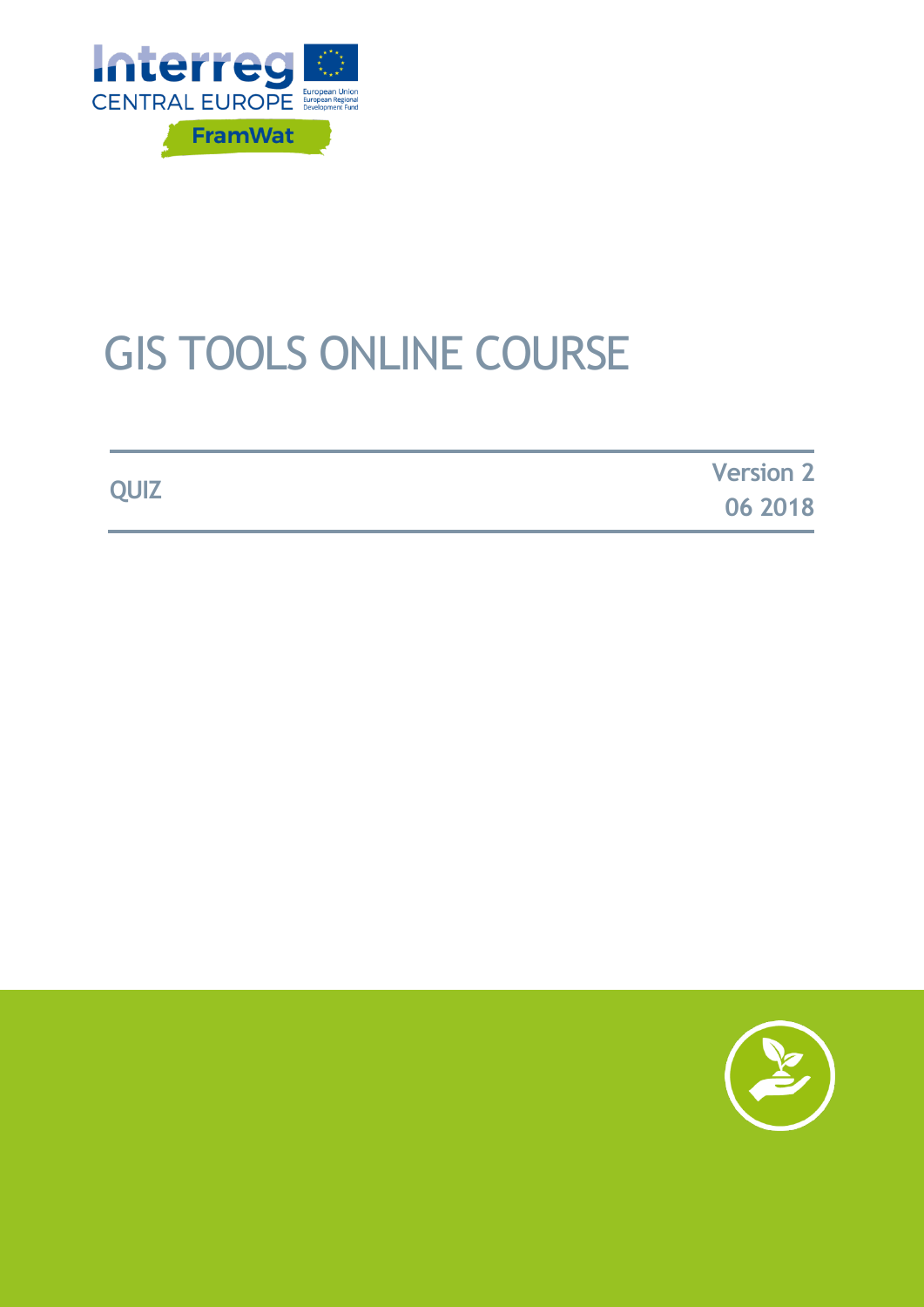

# GIS TOOLS ONLINE COURSE

**QUIZ Version 2 06 2018**

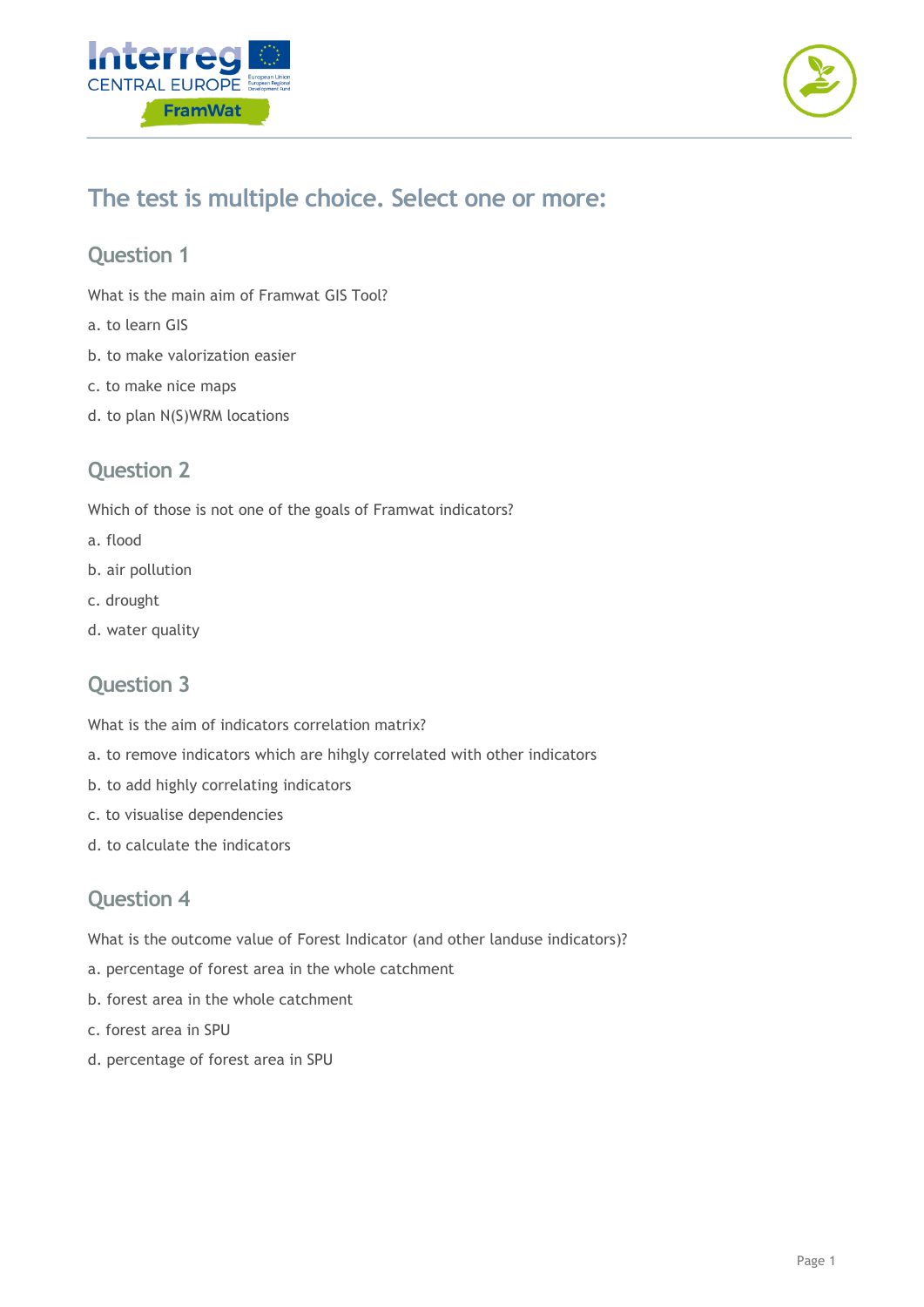



### **The test is multiple choice. Select one or more:**

#### **Question 1**

What is the main aim of Framwat GIS Tool?

- a. to learn GIS
- b. to make valorization easier
- c. to make nice maps
- d. to plan N(S)WRM locations

#### **Question 2**

Which of those is not one of the goals of Framwat indicators?

- a. flood
- b. air pollution
- c. drought
- d. water quality

#### **Question 3**

What is the aim of indicators correlation matrix?

- a. to remove indicators which are hihgly correlated with other indicators
- b. to add highly correlating indicators
- c. to visualise dependencies
- d. to calculate the indicators

#### **Question 4**

What is the outcome value of Forest Indicator (and other landuse indicators)?

- a. percentage of forest area in the whole catchment
- b. forest area in the whole catchment
- c. forest area in SPU
- d. percentage of forest area in SPU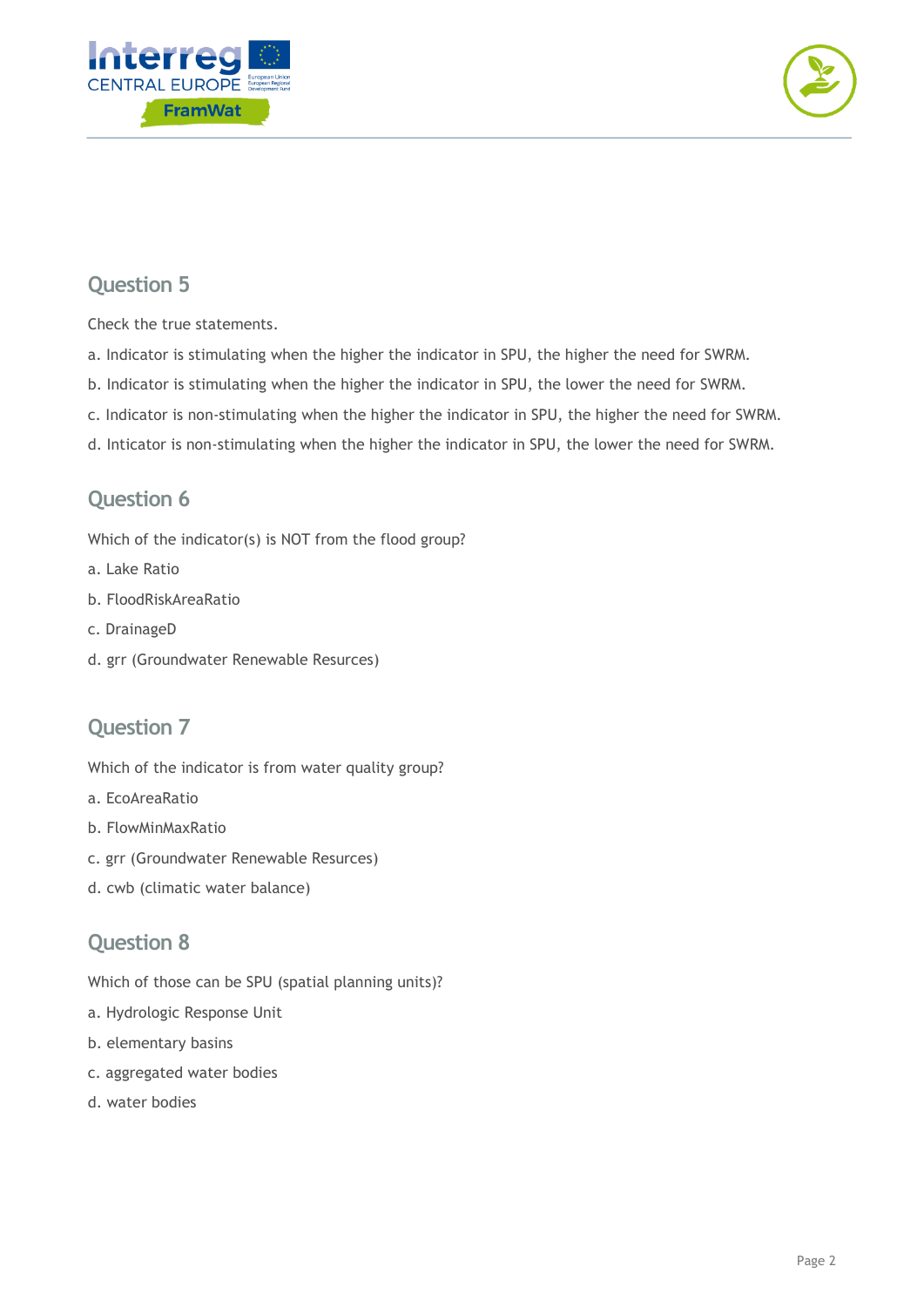



#### **Question 5**

Check the true statements.

- a. Indicator is stimulating when the higher the indicator in SPU, the higher the need for SWRM.
- b. Indicator is stimulating when the higher the indicator in SPU, the lower the need for SWRM.
- c. Indicator is non-stimulating when the higher the indicator in SPU, the higher the need for SWRM.
- d. Inticator is non-stimulating when the higher the indicator in SPU, the lower the need for SWRM.

#### **Question 6**

Which of the indicator(s) is NOT from the flood group?

- a. Lake Ratio
- b. FloodRiskAreaRatio
- c. DrainageD
- d. grr (Groundwater Renewable Resurces)

#### **Question 7**

Which of the indicator is from water quality group?

- a. EcoAreaRatio
- b. FlowMinMaxRatio
- c. grr (Groundwater Renewable Resurces)
- d. cwb (climatic water balance)

#### **Question 8**

Which of those can be SPU (spatial planning units)?

- a. Hydrologic Response Unit
- b. elementary basins
- c. aggregated water bodies
- d. water bodies